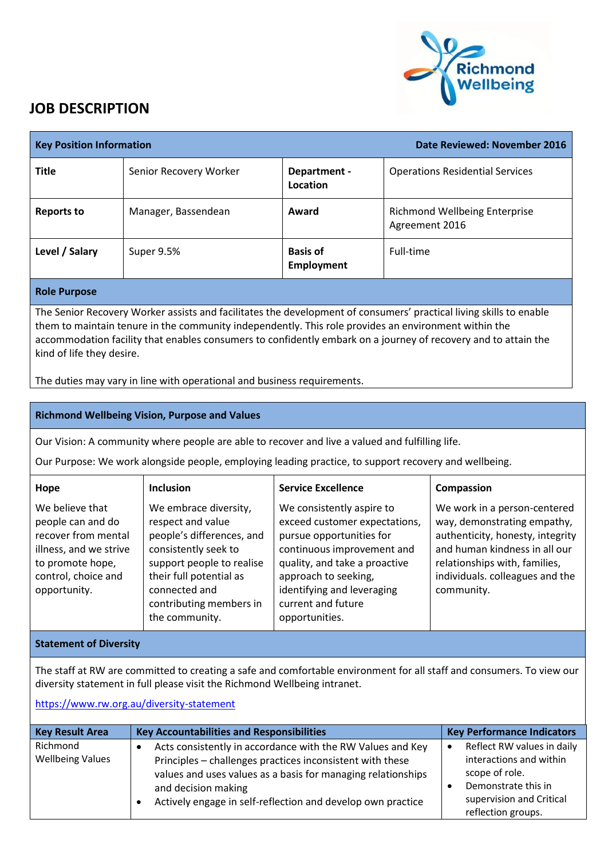

## **JOB DESCRIPTION**

| <b>Key Position Information</b>                                                                                                                                                                                                                                                                                                                                           |                        |                                      | Date Reviewed: November 2016                           |
|---------------------------------------------------------------------------------------------------------------------------------------------------------------------------------------------------------------------------------------------------------------------------------------------------------------------------------------------------------------------------|------------------------|--------------------------------------|--------------------------------------------------------|
| <b>Title</b>                                                                                                                                                                                                                                                                                                                                                              | Senior Recovery Worker | Department -<br>Location             | <b>Operations Residential Services</b>                 |
| <b>Reports to</b>                                                                                                                                                                                                                                                                                                                                                         | Manager, Bassendean    | Award                                | <b>Richmond Wellbeing Enterprise</b><br>Agreement 2016 |
| Level / Salary                                                                                                                                                                                                                                                                                                                                                            | Super 9.5%             | <b>Basis of</b><br><b>Employment</b> | Full-time                                              |
| <b>Role Purpose</b>                                                                                                                                                                                                                                                                                                                                                       |                        |                                      |                                                        |
| The Senior Recovery Worker assists and facilitates the development of consumers' practical living skills to enable<br>them to maintain tenure in the community independently. This role provides an environment within the<br>accommodation facility that enables consumers to confidently embark on a journey of recovery and to attain the<br>kind of life they desire. |                        |                                      |                                                        |
| The duties may vary in line with operational and business requirements.                                                                                                                                                                                                                                                                                                   |                        |                                      |                                                        |

**Richmond Wellbeing Vision, Purpose and Values**

Our Vision: A community where people are able to recover and live a valued and fulfilling life.

Our Purpose: We work alongside people, employing leading practice, to support recovery and wellbeing.

| Hope                                                                                                                                             | <b>Inclusion</b>                                                                                                                                                                                                      | <b>Service Excellence</b>                                                                                                                                                                                                                           | Compassion                                                                                                                                                                                                         |
|--------------------------------------------------------------------------------------------------------------------------------------------------|-----------------------------------------------------------------------------------------------------------------------------------------------------------------------------------------------------------------------|-----------------------------------------------------------------------------------------------------------------------------------------------------------------------------------------------------------------------------------------------------|--------------------------------------------------------------------------------------------------------------------------------------------------------------------------------------------------------------------|
| We believe that<br>people can and do<br>recover from mental<br>illness, and we strive<br>to promote hope,<br>control, choice and<br>opportunity. | We embrace diversity,<br>respect and value<br>people's differences, and<br>consistently seek to<br>support people to realise<br>their full potential as<br>connected and<br>contributing members in<br>the community. | We consistently aspire to<br>exceed customer expectations,<br>pursue opportunities for<br>continuous improvement and<br>quality, and take a proactive<br>approach to seeking,<br>identifying and leveraging<br>current and future<br>opportunities. | We work in a person-centered<br>way, demonstrating empathy,<br>authenticity, honesty, integrity<br>and human kindness in all our<br>relationships with, families,<br>individuals. colleagues and the<br>community. |

## **Statement of Diversity**

The staff at RW are committed to creating a safe and comfortable environment for all staff and consumers. To view our diversity statement in full please visit the Richmond Wellbeing intranet.

<https://www.rw.org.au/diversity-statement>

| <b>Key Result Area</b>              | <b>Key Accountabilities and Responsibilities</b>                                                                                                                                                                                                                              | <b>Key Performance Indicators</b>                                                                                                                             |
|-------------------------------------|-------------------------------------------------------------------------------------------------------------------------------------------------------------------------------------------------------------------------------------------------------------------------------|---------------------------------------------------------------------------------------------------------------------------------------------------------------|
| Richmond<br><b>Wellbeing Values</b> | Acts consistently in accordance with the RW Values and Key<br>Principles - challenges practices inconsistent with these<br>values and uses values as a basis for managing relationships<br>and decision making<br>Actively engage in self-reflection and develop own practice | Reflect RW values in daily<br>$\bullet$<br>interactions and within<br>scope of role.<br>Demonstrate this in<br>supervision and Critical<br>reflection groups. |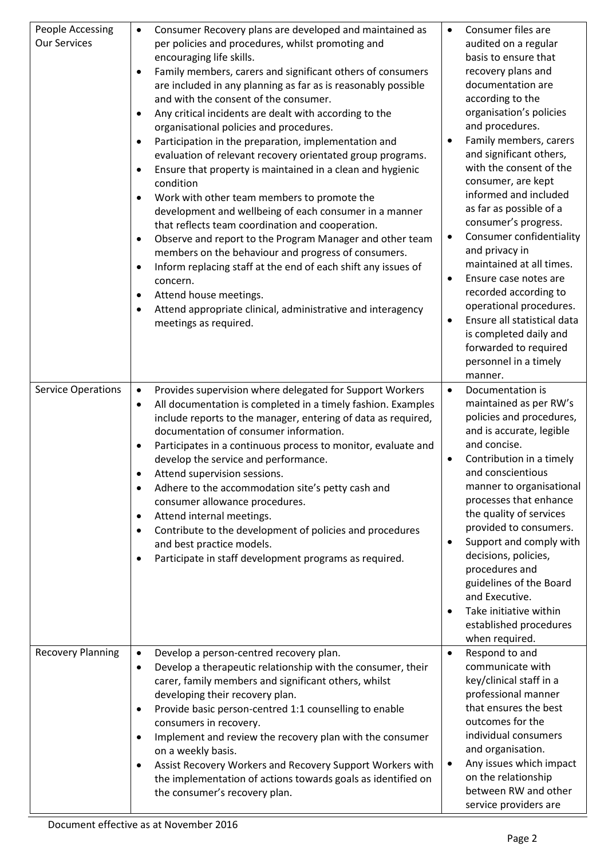| People Accessing<br><b>Our Services</b> | Consumer Recovery plans are developed and maintained as<br>$\bullet$<br>per policies and procedures, whilst promoting and<br>encouraging life skills.<br>Family members, carers and significant others of consumers<br>are included in any planning as far as is reasonably possible<br>and with the consent of the consumer.<br>Any critical incidents are dealt with according to the<br>organisational policies and procedures.<br>Participation in the preparation, implementation and<br>evaluation of relevant recovery orientated group programs.<br>Ensure that property is maintained in a clean and hygienic<br>condition<br>Work with other team members to promote the<br>development and wellbeing of each consumer in a manner<br>that reflects team coordination and cooperation.<br>Observe and report to the Program Manager and other team<br>$\bullet$<br>members on the behaviour and progress of consumers.<br>Inform replacing staff at the end of each shift any issues of<br>concern.<br>Attend house meetings.<br>Attend appropriate clinical, administrative and interagency<br>meetings as required. | Consumer files are<br>$\bullet$<br>audited on a regular<br>basis to ensure that<br>recovery plans and<br>documentation are<br>according to the<br>organisation's policies<br>and procedures.<br>Family members, carers<br>$\bullet$<br>and significant others,<br>with the consent of the<br>consumer, are kept<br>informed and included<br>as far as possible of a<br>consumer's progress.<br>Consumer confidentiality<br>$\bullet$<br>and privacy in<br>maintained at all times.<br>Ensure case notes are<br>$\bullet$<br>recorded according to<br>operational procedures.<br>Ensure all statistical data<br>$\bullet$<br>is completed daily and<br>forwarded to required<br>personnel in a timely<br>manner. |
|-----------------------------------------|---------------------------------------------------------------------------------------------------------------------------------------------------------------------------------------------------------------------------------------------------------------------------------------------------------------------------------------------------------------------------------------------------------------------------------------------------------------------------------------------------------------------------------------------------------------------------------------------------------------------------------------------------------------------------------------------------------------------------------------------------------------------------------------------------------------------------------------------------------------------------------------------------------------------------------------------------------------------------------------------------------------------------------------------------------------------------------------------------------------------------------|-----------------------------------------------------------------------------------------------------------------------------------------------------------------------------------------------------------------------------------------------------------------------------------------------------------------------------------------------------------------------------------------------------------------------------------------------------------------------------------------------------------------------------------------------------------------------------------------------------------------------------------------------------------------------------------------------------------------|
| <b>Service Operations</b>               | Provides supervision where delegated for Support Workers<br>$\bullet$<br>All documentation is completed in a timely fashion. Examples<br>$\bullet$<br>include reports to the manager, entering of data as required,<br>documentation of consumer information.<br>Participates in a continuous process to monitor, evaluate and<br>develop the service and performance.<br>Attend supervision sessions.<br>Adhere to the accommodation site's petty cash and<br>$\bullet$<br>consumer allowance procedures.<br>Attend internal meetings.<br>Contribute to the development of policies and procedures<br>$\bullet$<br>and best practice models.<br>Participate in staff development programs as required.                                                                                                                                                                                                                                                                                                                                                                                                                         | Documentation is<br>$\bullet$<br>maintained as per RW's<br>policies and procedures,<br>and is accurate, legible<br>and concise.<br>Contribution in a timely<br>$\bullet$<br>and conscientious<br>manner to organisational<br>processes that enhance<br>the quality of services<br>provided to consumers.<br>Support and comply with<br>$\bullet$<br>decisions, policies,<br>procedures and<br>guidelines of the Board<br>and Executive.<br>Take initiative within<br>$\bullet$<br>established procedures<br>when required.                                                                                                                                                                                      |
| <b>Recovery Planning</b>                | Develop a person-centred recovery plan.<br>$\bullet$<br>Develop a therapeutic relationship with the consumer, their<br>$\bullet$<br>carer, family members and significant others, whilst<br>developing their recovery plan.<br>Provide basic person-centred 1:1 counselling to enable<br>$\bullet$<br>consumers in recovery.<br>Implement and review the recovery plan with the consumer<br>on a weekly basis.<br>Assist Recovery Workers and Recovery Support Workers with<br>the implementation of actions towards goals as identified on<br>the consumer's recovery plan.                                                                                                                                                                                                                                                                                                                                                                                                                                                                                                                                                    | Respond to and<br>$\bullet$<br>communicate with<br>key/clinical staff in a<br>professional manner<br>that ensures the best<br>outcomes for the<br>individual consumers<br>and organisation.<br>Any issues which impact<br>$\bullet$<br>on the relationship<br>between RW and other<br>service providers are                                                                                                                                                                                                                                                                                                                                                                                                     |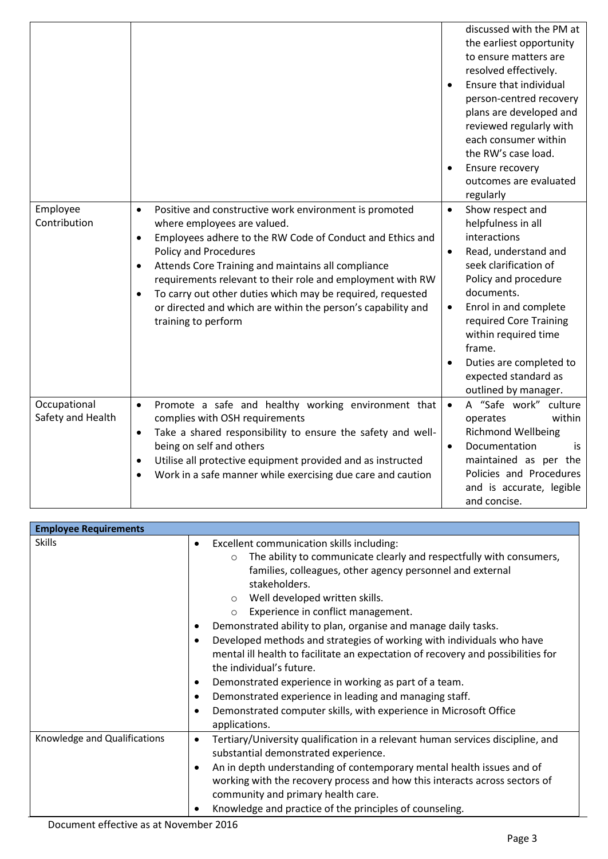|                                   |                                                                                                                                                                                                                                                                                                                                                                                                                                                                                                    | discussed with the PM at<br>the earliest opportunity<br>to ensure matters are<br>resolved effectively.<br>Ensure that individual<br>$\bullet$<br>person-centred recovery<br>plans are developed and<br>reviewed regularly with<br>each consumer within<br>the RW's case load.<br>Ensure recovery<br>$\bullet$<br>outcomes are evaluated<br>regularly              |
|-----------------------------------|----------------------------------------------------------------------------------------------------------------------------------------------------------------------------------------------------------------------------------------------------------------------------------------------------------------------------------------------------------------------------------------------------------------------------------------------------------------------------------------------------|-------------------------------------------------------------------------------------------------------------------------------------------------------------------------------------------------------------------------------------------------------------------------------------------------------------------------------------------------------------------|
| Employee<br>Contribution          | Positive and constructive work environment is promoted<br>$\bullet$<br>where employees are valued.<br>Employees adhere to the RW Code of Conduct and Ethics and<br>$\bullet$<br><b>Policy and Procedures</b><br>Attends Core Training and maintains all compliance<br>$\bullet$<br>requirements relevant to their role and employment with RW<br>To carry out other duties which may be required, requested<br>or directed and which are within the person's capability and<br>training to perform | Show respect and<br>$\bullet$<br>helpfulness in all<br>interactions<br>Read, understand and<br>$\bullet$<br>seek clarification of<br>Policy and procedure<br>documents.<br>Enrol in and complete<br>$\bullet$<br>required Core Training<br>within required time<br>frame.<br>Duties are completed to<br>$\bullet$<br>expected standard as<br>outlined by manager. |
| Occupational<br>Safety and Health | Promote a safe and healthy working environment that<br>$\bullet$<br>complies with OSH requirements<br>Take a shared responsibility to ensure the safety and well-<br>$\bullet$<br>being on self and others<br>Utilise all protective equipment provided and as instructed<br>$\bullet$<br>Work in a safe manner while exercising due care and caution                                                                                                                                              | A "Safe work" culture<br>$\bullet$<br>within<br>operates<br><b>Richmond Wellbeing</b><br>Documentation<br>$\bullet$<br>is<br>maintained as per the<br>Policies and Procedures<br>and is accurate, legible<br>and concise.                                                                                                                                         |

| <b>Employee Requirements</b> |                                                                                                                                                                                                                                                                                                                                                                                                                                                                                                                                                                                                                                                                                                                                                                                                    |
|------------------------------|----------------------------------------------------------------------------------------------------------------------------------------------------------------------------------------------------------------------------------------------------------------------------------------------------------------------------------------------------------------------------------------------------------------------------------------------------------------------------------------------------------------------------------------------------------------------------------------------------------------------------------------------------------------------------------------------------------------------------------------------------------------------------------------------------|
| <b>Skills</b>                | Excellent communication skills including:<br>$\bullet$<br>The ability to communicate clearly and respectfully with consumers,<br>$\circ$<br>families, colleagues, other agency personnel and external<br>stakeholders.<br>Well developed written skills.<br>$\circ$<br>Experience in conflict management.<br>$\circ$<br>Demonstrated ability to plan, organise and manage daily tasks.<br>Developed methods and strategies of working with individuals who have<br>mental ill health to facilitate an expectation of recovery and possibilities for<br>the individual's future.<br>Demonstrated experience in working as part of a team.<br>٠<br>Demonstrated experience in leading and managing staff.<br>٠<br>Demonstrated computer skills, with experience in Microsoft Office<br>applications. |
| Knowledge and Qualifications | Tertiary/University qualification in a relevant human services discipline, and<br>$\bullet$<br>substantial demonstrated experience.<br>An in depth understanding of contemporary mental health issues and of<br>٠<br>working with the recovery process and how this interacts across sectors of<br>community and primary health care.<br>Knowledge and practice of the principles of counseling.                                                                                                                                                                                                                                                                                                                                                                                                   |